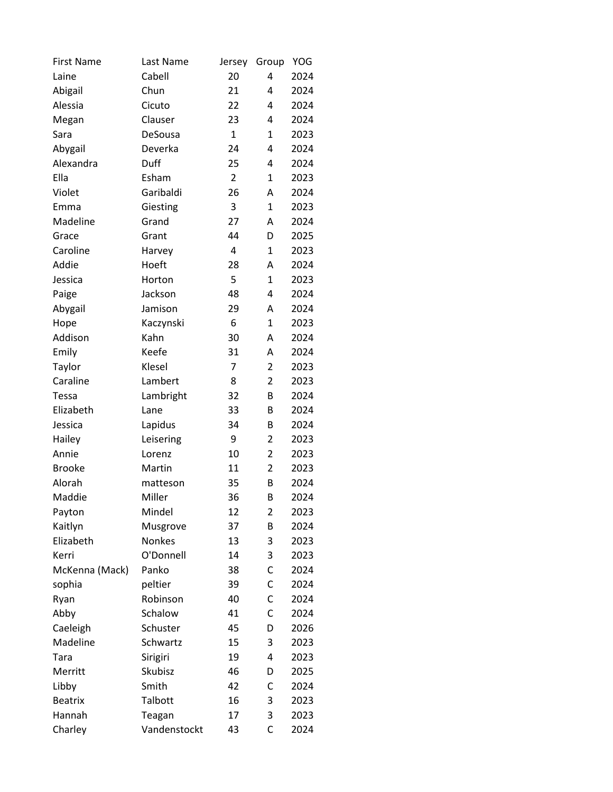| <b>First Name</b> | Last Name    | Jersey         | Group          | YOG  |
|-------------------|--------------|----------------|----------------|------|
| Laine             | Cabell       | 20             | 4              | 2024 |
| Abigail           | Chun         | 21             | 4              | 2024 |
| Alessia           | Cicuto       | 22             | 4              | 2024 |
| Megan             | Clauser      | 23             | 4              | 2024 |
| Sara              | DeSousa      | $\mathbf{1}$   | 1              | 2023 |
| Abygail           | Deverka      | 24             | 4              | 2024 |
| Alexandra         | Duff         | 25             | 4              | 2024 |
| Ella              | Esham        | $\overline{2}$ | 1              | 2023 |
| Violet            | Garibaldi    | 26             | A              | 2024 |
| Emma              | Giesting     | 3              | 1              | 2023 |
| Madeline          | Grand        | 27             | Α              | 2024 |
| Grace             | Grant        | 44             | D              | 2025 |
| Caroline          | Harvey       | 4              | $\mathbf{1}$   | 2023 |
| Addie             | Hoeft        | 28             | Α              | 2024 |
| Jessica           | Horton       | 5              | 1              | 2023 |
| Paige             | Jackson      | 48             | 4              | 2024 |
| Abygail           | Jamison      | 29             | Α              | 2024 |
| Hope              | Kaczynski    | 6              | $\mathbf{1}$   | 2023 |
| Addison           | Kahn         | 30             | А              | 2024 |
| Emily             | Keefe        | 31             | Α              | 2024 |
| Taylor            | Klesel       | 7              | $\overline{2}$ | 2023 |
| Caraline          | Lambert      | 8              | $\overline{2}$ | 2023 |
| <b>Tessa</b>      | Lambright    | 32             | B              | 2024 |
| Elizabeth         | Lane         | 33             | B              | 2024 |
| Jessica           | Lapidus      | 34             | B              | 2024 |
| Hailey            | Leisering    | 9              | $\overline{2}$ | 2023 |
| Annie             | Lorenz       | 10             | $\overline{2}$ | 2023 |
| <b>Brooke</b>     | Martin       | 11             | $\overline{2}$ | 2023 |
| Alorah            | matteson     | 35             | B              | 2024 |
| Maddie            | Miller       | 36             | B              | 2024 |
| Payton            | Mindel       | 12             | 2              | 2023 |
| Kaitlyn           | Musgrove     | 37             | B              | 2024 |
| Elizabeth         | Nonkes       | 13             | 3              | 2023 |
| Kerri             | O'Donnell    | 14             | 3              | 2023 |
| McKenna (Mack)    | Panko        | 38             | C              | 2024 |
| sophia            | peltier      | 39             | С              | 2024 |
| Ryan              | Robinson     | 40             | С              | 2024 |
| Abby              | Schalow      | 41             | C              | 2024 |
| Caeleigh          | Schuster     | 45             | D              | 2026 |
| Madeline          | Schwartz     | 15             | 3              | 2023 |
| Tara              | Sirigiri     | 19             | 4              | 2023 |
| Merritt           | Skubisz      | 46             | D              | 2025 |
| Libby             | Smith        | 42             | С              | 2024 |
| <b>Beatrix</b>    | Talbott      | 16             | 3              | 2023 |
| Hannah            | Teagan       | 17             | 3              | 2023 |
| Charley           | Vandenstockt | 43             | C              | 2024 |